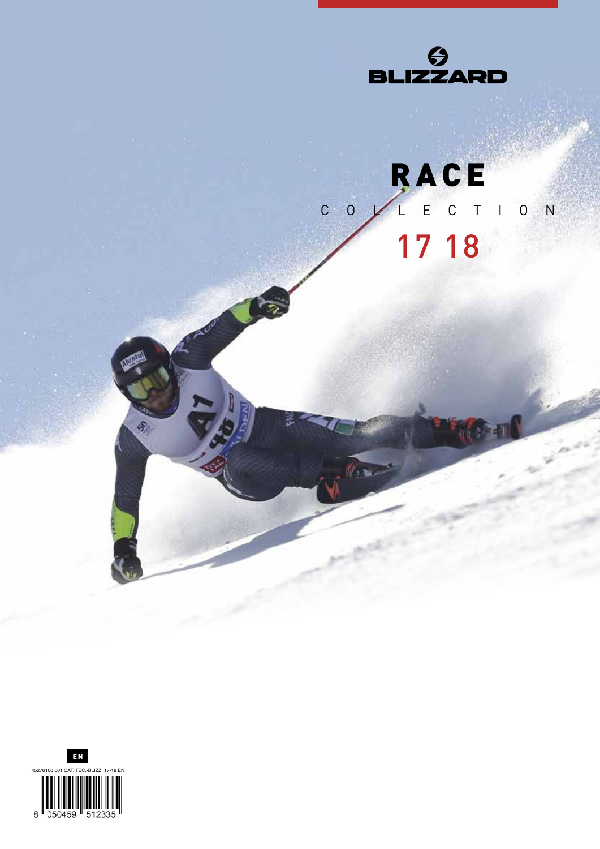

### RACE  $\epsilon$  $\overline{C}$  $c \circ$  $\bar{1}$  $0 N$  $\overline{\phantom{a}}$ 17 18



 $\frac{1}{2}$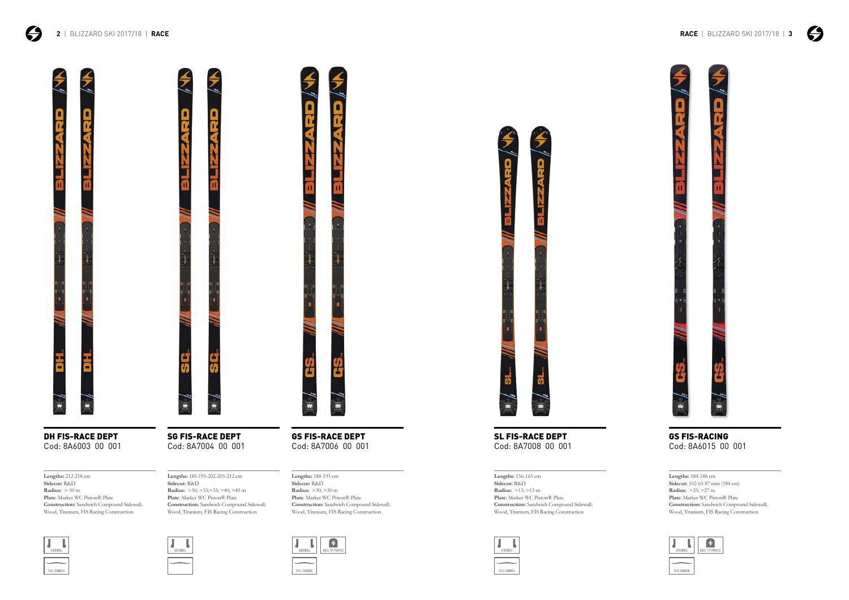

DH FIS-RACE DEPT SG FIS-RACE DEPT GS FIS-RACE DEPT Cod: 8A6003 00 001 Cod: 8A7004 00 001 Cod: 8A7006 00 001

# Cod: 8A7008 00 001 Cod: 8A6015 00 001



**Plate**: Marker WC Piston® Plate **Construction:** Sandwich Compound Sidewall; Wood, Titanium, FIS Racing Construction



RACE TIP PROFIL  $\mathbf{L}$ SIDEWALL

FULL CAMBER



SL FIS-RACE DEPT GS FIS-RACING

**Lengths:** 188-193 cm **Sidecut:** R&D **Radius:** >30; >30 m **Plate**: Marker WC Piston® Plate **Construction:** Sandwich Compound Sidewall; Wood, Titanium, FIS Racing Construction







**Lengths:** 212-218 cm **Sidecut:** R&D **Radius:** > 50 m **Plate**: Marker WC Piston® Plate **Construction:** Sandwich Compound Sidewall; Wood, Titanium, FIS Racing Construction



**Lengths:** 184-188 cm **Sidecut:** 102-65-87 mm (184 cm) **Radius:** >25; >27 m **Plate**: Marker WC Piston® Plate **Construction:** Sandwich Compound Sidewall; Wood, Titanium, FIS Racing Construction



**Lengths:** 156-165 cm **Sidecut:** R&D **Radius:** >13; >13 m **Plate**: Marker WC Piston® Plate **Construction:** Sandwich Compound Sidewall; Wood, Titanium, FIS Racing Construction

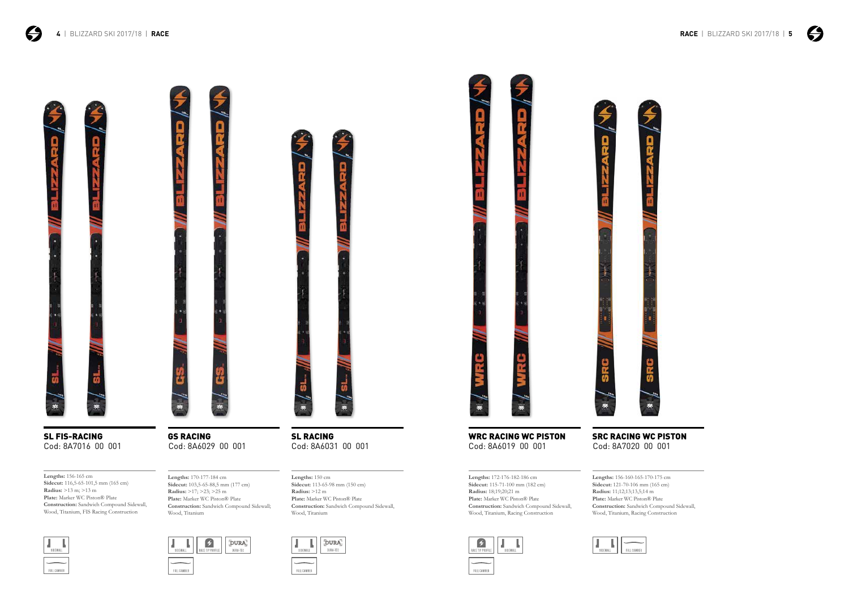$\boldsymbol{\Theta}$ 





SL FIS-RACING Cod: 8A7016 00 001

WRC RACING WC PISTON SRC RACING WC PISTON Cod: 8A6019 00 001 Cod: 8A7020 00 001

SL RACING

Cod: 8A6031 00 001

**Lengths:** 170-177-184 cm **Sidecut:** 103,5-65-88,5 mm (177 cm) **Radius:** >17; >23; >25 m **Plate:** Marker WC Piston® Plate **Construction:** Sandwich Compound Sidewall; Wood, Titanium



**Lengths:** 156-165 cm **Sidecut:** 116,5-65-101,5 mm (165 cm) **Radius:** >13 m; >13 m **Plate:** Marker WC Piston® Plate **Construction:** Sandwich Compound Sidewall, Wood, Titanium, FIS Racing Construction



**Lengths:** 150 cm

**Sidecut:** 113-65-98 mm (150 cm)





**Lengths:** 156-160-165-170-175 cm **Sidecut:** 121-70-106 mm (165 cm) **Radius:** 11;12;13;13,5;14 m **Plate:** Marker WC Piston® Plate **Construction:** Sandwich Compound Sidewall, Wood, Titanium, Racing Construction



**Lengths:** 172-176-182-186 cm **Sidecut:** 115-71-100 mm (182 cm) **Radius:** 18;19;20;21 m **Plate:** Marker WC Piston® Plate **Construction:** Sandwich Compound Sidewall, Wood, Titanium, Racing Construction









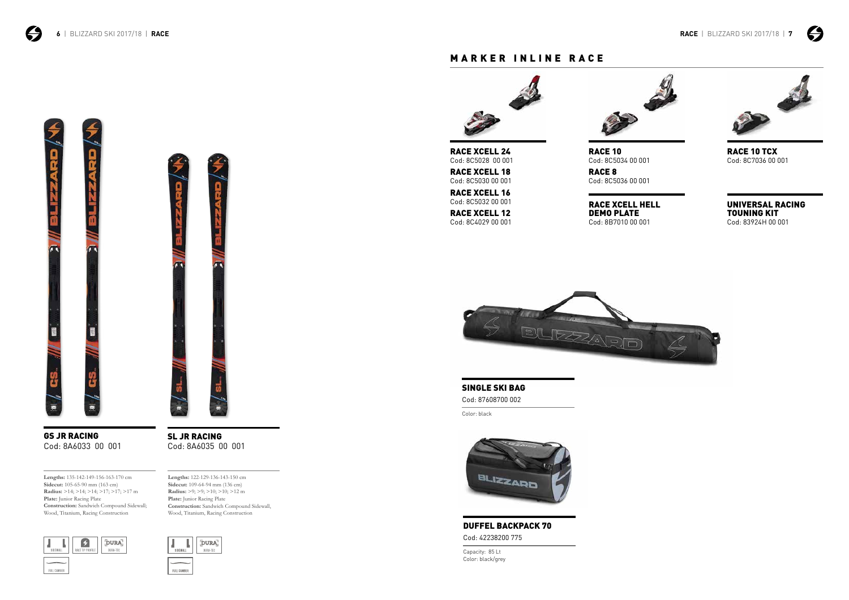$\boldsymbol{\Theta}$ 



GS JR RACING Cod: 8A6033 00 001



SL JR RACING Cod: 8A6035 00 001

### MARKER INLINE RACE



SINGLE SKI BAG

Cod: 87608700 002

Color: black



DUFFEL BACKPACK 70 Cod: 42238200 775

Capacity: 85 Lt Color: black/grey







RACE XCELL 24 Cod: 8C5028 00 001

RACE XCELL 12 Cod: 8C4029 00 001 Cod: 8C5032 00 001

RACE XCELL 16



RACE 8 Cod: 8C5036 00 001

RACE XCELL 18 Cod: 8C5030 00 001 RACE 10 Cod: 8C5034 00 001 RACE 10 TCX Cod: 8C7036 00 001

RACE XCELL HELL DEMO PLATE Cod: 8B7010 00 001



UNIVERSAL RACING TOUNING KIT Cod: 83924H 00 001

**Lengths:** 135-142-149-156-163-170 cm **Sidecut:** 105-65-90 mm (163 cm) **Radius:** >14; >14; >14; >17; >17; >17 m **Plate:** Junior Racing Plate **Construction:** Sandwich Compound Sidewall; Wood, Titanium, Racing Construction



**Lengths:** 122-129-136-143-150 cm **Sidecut:** 109-64-94 mm (136 cm) **Radius:** >9; >9; >10; >10; >12 m **Plate:** Junior Racing Plate **Construction:** Sandwich Compound Sidewall, Wood, Titanium, Racing Construction